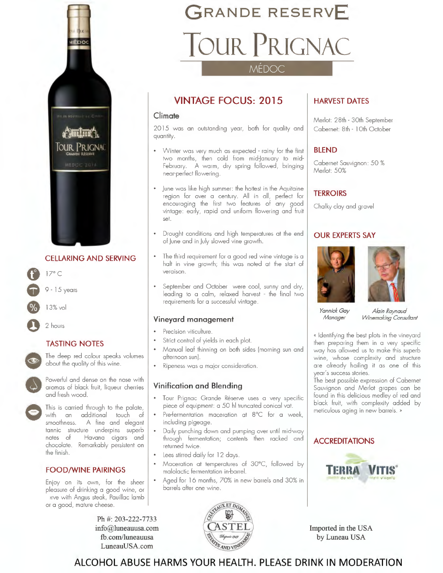

#### **CELLARING AND SERVING**

17° C

9 - 15 years

13% vol

2 hours

#### **TASTING NOTES**

TAS<br>
The<br>
obo<br>
com<br>
com<br>
com<br>
do aron The deep red colour speaks volumes about the quality of this wine.

Powerful and dense on the nose with aromas of black fruit, liqueur cherries and fresh wood.

This is carried through to the palate, with an additional touch of smoothness. A fine and elegant tannic structure underpins superb notes of Havana cigars and chocolate. Remarkably persistent on the finish

#### **FOOD/WINE PAIRINGS**

Enjoy on its own, for the sheer pleasure of drinking a good wine, or irve with Angus steak, Pauillac lamb or a good, mature cheese.

> **Ph #: 203-222-7733 info@luneauusa.com fb.com/luneauusa Luneau USA.com**

## **GRANDE RESERVE**  TOUR PRIGNAC

MÉDOC

#### **VINTAGE FOCUS: 2015**

#### **Climate**

2015 was an outstanding year, both for quality and quantity.

- Winter was very much as expected rainy for the first two months, then cold from mid-January to mid-February. A warm, dry spring followed, bringing near-perfect flowering.
- June was like high summer: the hottest in the Aquitaine region for over a century. All in all, perfect for encouraging the first two features of any good vintage: early, rapid and uniform flowering and fruit set.
- Drought conditions and high temperatures at the end of June and in July slowed vine growth.
- The third requirement for a good red wine vintage is a halt in vine growth; this was noted at the start of veraison.
- September and October were cool, sunny and dry, leading to a calm, relaxed harvest - the final two requirements for a successful vintage.

#### **Vineyard management**

- Precision viticulture.
- Strict control of yields in each plot.
- Manual leaf thinning on both sides (morning sun and afternoon sun).
- Ripeness was a major consideration.

#### **Vinification and Blending**

- Tour Prignac Grande Réserve uses a very specific piece of equipment: a 50 hi truncated conical vat.
- Pre-fermentation maceration at 8°C for a week, including pigeage
- Daily punching down and pumping over until mid-way through fermentation; contents then racked and returned twice.
- Lees stirred daily for 12 days.
- Maceration at temperatures of 30°C, followed by malolactic fermentation in-barrel.
- Aged for 16 months, 70% in new barrels and 30% in barrels after one wine.



#### **HARVEST DATES**

Merlot: 28th - 30th September Cabernet: 8th - 10th October

#### **BLEND**

Cabernet Sauvignon: 50 % Merlot: 50%

#### **TERROIRS**

Chalky clay and gravel

#### **OUR EXPERTS SAY**





*Yannick Gay Manager* 

*Alain Raynaud Winemaking Consultant* 

« Identifying the best plots in the vineyard then preparing them in a very specific way has allowed us to make this superb wine, whose complexity and structure are already hailing it as one of this year's success stories.

The best possible expression of Cabernet Sauvignon and Merlot grapes can be found in this delicious medley of red and black fruit, with complexity added by meticulous aging in new barrels. »

#### **ACCREDITATIONS**



**Imported in the USA by Luneau USA** 

#### **ALCOHOL ABUSE HARMS YOUR HEALTH. PLEASE DRINK IN MODERATION**